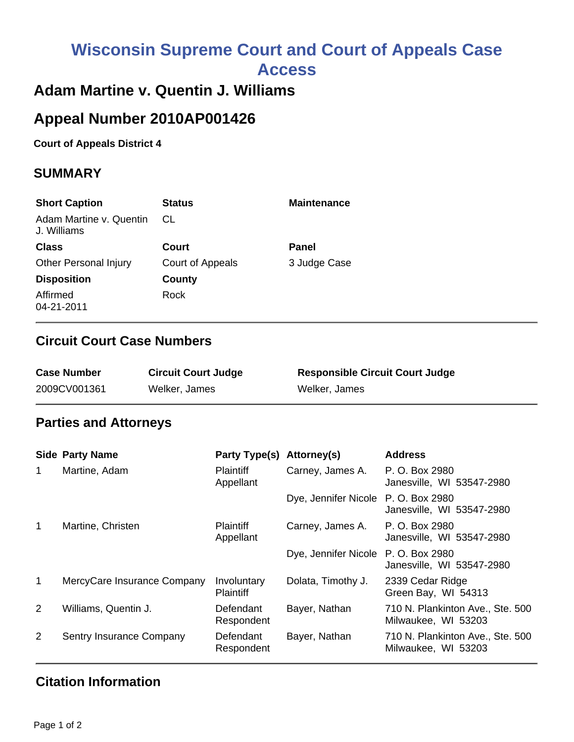# **Wisconsin Supreme Court and Court of Appeals Case Access**

## **Adam Martine v. Quentin J. Williams**

## **Appeal Number 2010AP001426**

**Court of Appeals District 4**

#### **SUMMARY**

| <b>Short Caption</b>                   | <b>Status</b>    | <b>Maintenance</b> |
|----------------------------------------|------------------|--------------------|
| Adam Martine v. Quentin<br>J. Williams | CL               |                    |
| <b>Class</b>                           | Court            | Panel              |
| <b>Other Personal Injury</b>           | Court of Appeals | 3 Judge Case       |
| <b>Disposition</b>                     | County           |                    |
| Affirmed<br>04-21-2011                 | Rock             |                    |

#### **Circuit Court Case Numbers**

| <b>Case Number</b> | <b>Circuit Court Judge</b> | <b>Responsible Circuit Court Judge</b> |
|--------------------|----------------------------|----------------------------------------|
| 2009CV001361       | Welker, James              | Welker, James                          |

#### **Parties and Attorneys**

|                | <b>Side Party Name</b>      | Party Type(s)                   | Attorney(s)                         | <b>Address</b>                                          |
|----------------|-----------------------------|---------------------------------|-------------------------------------|---------------------------------------------------------|
| 1              | Martine, Adam               | <b>Plaintiff</b><br>Appellant   | Carney, James A.                    | P. O. Box 2980<br>Janesville, WI 53547-2980             |
|                |                             |                                 | Dye, Jennifer Nicole P. O. Box 2980 | Janesville, WI 53547-2980                               |
| 1              | Martine, Christen           | <b>Plaintiff</b><br>Appellant   | Carney, James A.                    | P. O. Box 2980<br>Janesville, WI 53547-2980             |
|                |                             |                                 | Dye, Jennifer Nicole P. O. Box 2980 | Janesville, WI 53547-2980                               |
| $\mathbf 1$    | MercyCare Insurance Company | Involuntary<br><b>Plaintiff</b> | Dolata, Timothy J.                  | 2339 Cedar Ridge<br>Green Bay, WI 54313                 |
| $\overline{2}$ | Williams, Quentin J.        | Defendant<br>Respondent         | Bayer, Nathan                       | 710 N. Plankinton Ave., Ste. 500<br>Milwaukee, WI 53203 |
| $\overline{2}$ | Sentry Insurance Company    | Defendant<br>Respondent         | Bayer, Nathan                       | 710 N. Plankinton Ave., Ste. 500<br>Milwaukee, WI 53203 |

### **Citation Information**